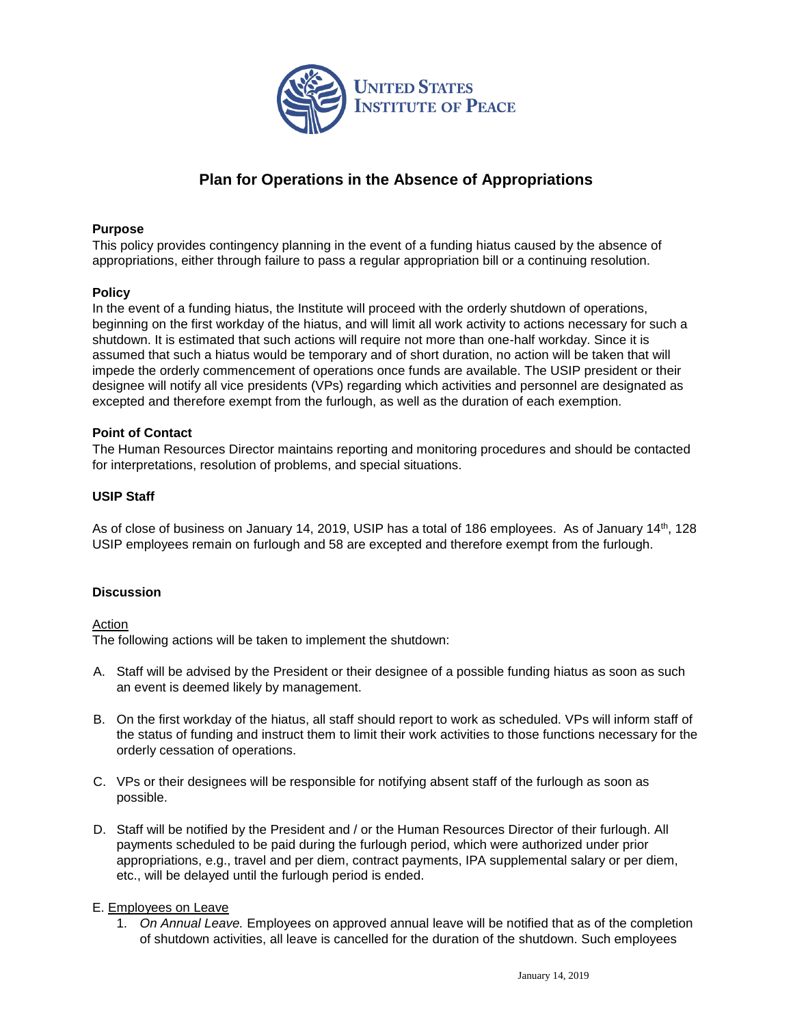

# **Plan for Operations in the Absence of Appropriations**

### **Purpose**

This policy provides contingency planning in the event of a funding hiatus caused by the absence of appropriations, either through failure to pass a regular appropriation bill or a continuing resolution.

#### **Policy**

In the event of a funding hiatus, the Institute will proceed with the orderly shutdown of operations, beginning on the first workday of the hiatus, and will limit all work activity to actions necessary for such a shutdown. It is estimated that such actions will require not more than one-half workday. Since it is assumed that such a hiatus would be temporary and of short duration, no action will be taken that will impede the orderly commencement of operations once funds are available. The USIP president or their designee will notify all vice presidents (VPs) regarding which activities and personnel are designated as excepted and therefore exempt from the furlough, as well as the duration of each exemption.

#### **Point of Contact**

The Human Resources Director maintains reporting and monitoring procedures and should be contacted for interpretations, resolution of problems, and special situations.

#### **USIP Staff**

As of close of business on January 14, 2019, USIP has a total of 186 employees. As of January 14<sup>th</sup>, 128 USIP employees remain on furlough and 58 are excepted and therefore exempt from the furlough.

## **Discussion**

#### Action

The following actions will be taken to implement the shutdown:

- A. Staff will be advised by the President or their designee of a possible funding hiatus as soon as such an event is deemed likely by management.
- B. On the first workday of the hiatus, all staff should report to work as scheduled. VPs will inform staff of the status of funding and instruct them to limit their work activities to those functions necessary for the orderly cessation of operations.
- C. VPs or their designees will be responsible for notifying absent staff of the furlough as soon as possible.
- D. Staff will be notified by the President and / or the Human Resources Director of their furlough. All payments scheduled to be paid during the furlough period, which were authorized under prior appropriations, e.g., travel and per diem, contract payments, IPA supplemental salary or per diem, etc., will be delayed until the furlough period is ended.

## E. Employees on Leave

1. *On Annual Leave.* Employees on approved annual leave will be notified that as of the completion of shutdown activities, all leave is cancelled for the duration of the shutdown. Such employees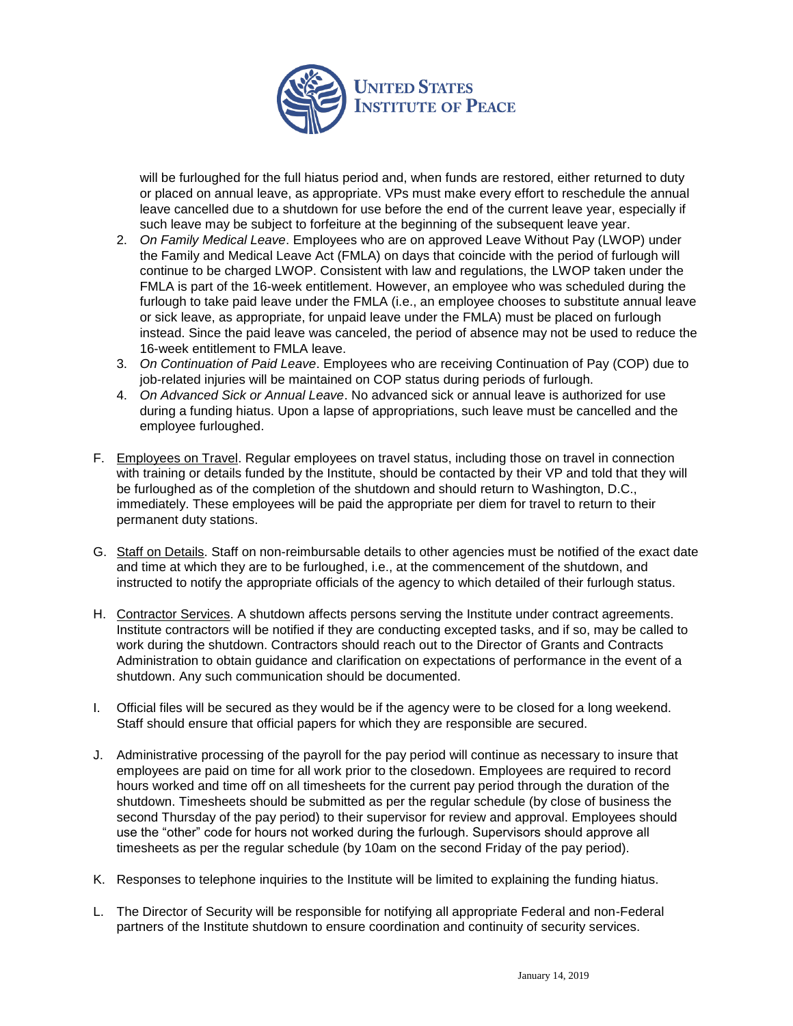

will be furloughed for the full hiatus period and, when funds are restored, either returned to duty or placed on annual leave, as appropriate. VPs must make every effort to reschedule the annual leave cancelled due to a shutdown for use before the end of the current leave year, especially if such leave may be subject to forfeiture at the beginning of the subsequent leave year.

- 2. *On Family Medical Leave*. Employees who are on approved Leave Without Pay (LWOP) under the Family and Medical Leave Act (FMLA) on days that coincide with the period of furlough will continue to be charged LWOP. Consistent with law and regulations, the LWOP taken under the FMLA is part of the 16-week entitlement. However, an employee who was scheduled during the furlough to take paid leave under the FMLA (i.e., an employee chooses to substitute annual leave or sick leave, as appropriate, for unpaid leave under the FMLA) must be placed on furlough instead. Since the paid leave was canceled, the period of absence may not be used to reduce the 16-week entitlement to FMLA leave.
- 3. *On Continuation of Paid Leave*. Employees who are receiving Continuation of Pay (COP) due to job-related injuries will be maintained on COP status during periods of furlough.
- 4. *On Advanced Sick or Annual Leave*. No advanced sick or annual leave is authorized for use during a funding hiatus. Upon a lapse of appropriations, such leave must be cancelled and the employee furloughed.
- F. Employees on Travel. Regular employees on travel status, including those on travel in connection with training or details funded by the Institute, should be contacted by their VP and told that they will be furloughed as of the completion of the shutdown and should return to Washington, D.C., immediately. These employees will be paid the appropriate per diem for travel to return to their permanent duty stations.
- G. Staff on Details. Staff on non-reimbursable details to other agencies must be notified of the exact date and time at which they are to be furloughed, i.e., at the commencement of the shutdown, and instructed to notify the appropriate officials of the agency to which detailed of their furlough status.
- H. Contractor Services. A shutdown affects persons serving the Institute under contract agreements. Institute contractors will be notified if they are conducting excepted tasks, and if so, may be called to work during the shutdown. Contractors should reach out to the Director of Grants and Contracts Administration to obtain guidance and clarification on expectations of performance in the event of a shutdown. Any such communication should be documented.
- I. Official files will be secured as they would be if the agency were to be closed for a long weekend. Staff should ensure that official papers for which they are responsible are secured.
- J. Administrative processing of the payroll for the pay period will continue as necessary to insure that employees are paid on time for all work prior to the closedown. Employees are required to record hours worked and time off on all timesheets for the current pay period through the duration of the shutdown. Timesheets should be submitted as per the regular schedule (by close of business the second Thursday of the pay period) to their supervisor for review and approval. Employees should use the "other" code for hours not worked during the furlough. Supervisors should approve all timesheets as per the regular schedule (by 10am on the second Friday of the pay period).
- K. Responses to telephone inquiries to the Institute will be limited to explaining the funding hiatus.
- L. The Director of Security will be responsible for notifying all appropriate Federal and non-Federal partners of the Institute shutdown to ensure coordination and continuity of security services.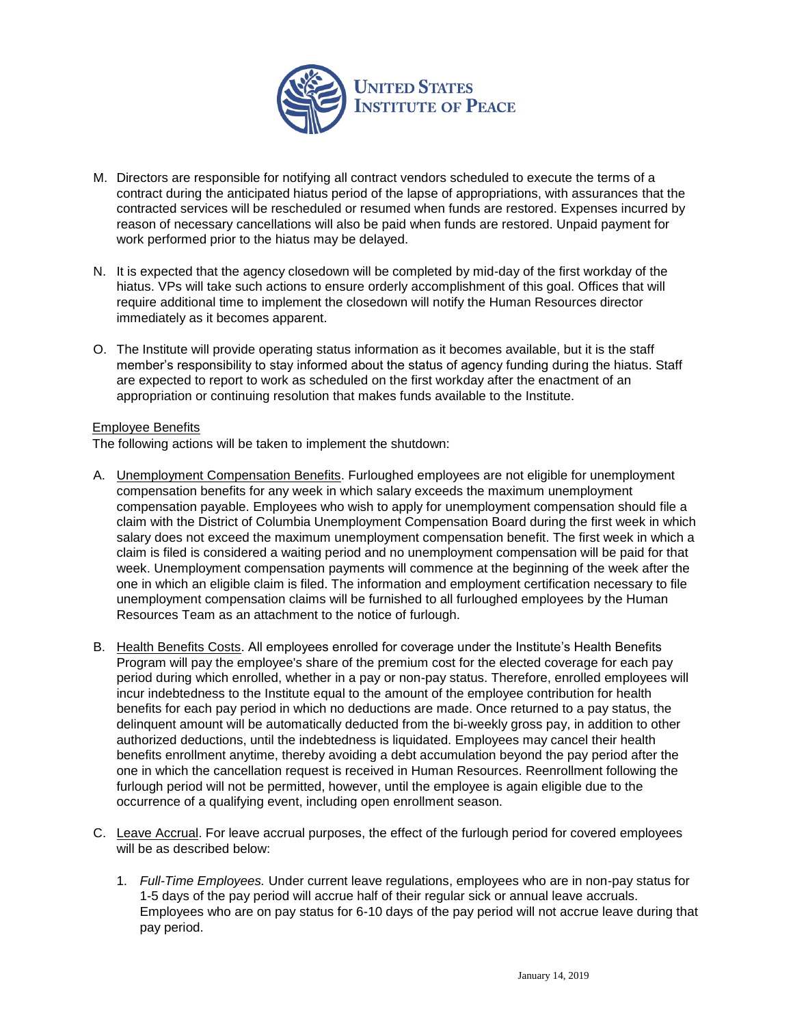

- M. Directors are responsible for notifying all contract vendors scheduled to execute the terms of a contract during the anticipated hiatus period of the lapse of appropriations, with assurances that the contracted services will be rescheduled or resumed when funds are restored. Expenses incurred by reason of necessary cancellations will also be paid when funds are restored. Unpaid payment for work performed prior to the hiatus may be delayed.
- N. It is expected that the agency closedown will be completed by mid-day of the first workday of the hiatus. VPs will take such actions to ensure orderly accomplishment of this goal. Offices that will require additional time to implement the closedown will notify the Human Resources director immediately as it becomes apparent.
- O. The Institute will provide operating status information as it becomes available, but it is the staff member's responsibility to stay informed about the status of agency funding during the hiatus. Staff are expected to report to work as scheduled on the first workday after the enactment of an appropriation or continuing resolution that makes funds available to the Institute.

## Employee Benefits

The following actions will be taken to implement the shutdown:

- A. Unemployment Compensation Benefits. Furloughed employees are not eligible for unemployment compensation benefits for any week in which salary exceeds the maximum unemployment compensation payable. Employees who wish to apply for unemployment compensation should file a claim with the District of Columbia Unemployment Compensation Board during the first week in which salary does not exceed the maximum unemployment compensation benefit. The first week in which a claim is filed is considered a waiting period and no unemployment compensation will be paid for that week. Unemployment compensation payments will commence at the beginning of the week after the one in which an eligible claim is filed. The information and employment certification necessary to file unemployment compensation claims will be furnished to all furloughed employees by the Human Resources Team as an attachment to the notice of furlough.
- B. Health Benefits Costs. All employees enrolled for coverage under the Institute's Health Benefits Program will pay the employee's share of the premium cost for the elected coverage for each pay period during which enrolled, whether in a pay or non-pay status. Therefore, enrolled employees will incur indebtedness to the Institute equal to the amount of the employee contribution for health benefits for each pay period in which no deductions are made. Once returned to a pay status, the delinquent amount will be automatically deducted from the bi-weekly gross pay, in addition to other authorized deductions, until the indebtedness is liquidated. Employees may cancel their health benefits enrollment anytime, thereby avoiding a debt accumulation beyond the pay period after the one in which the cancellation request is received in Human Resources. Reenrollment following the furlough period will not be permitted, however, until the employee is again eligible due to the occurrence of a qualifying event, including open enrollment season.
- C. Leave Accrual. For leave accrual purposes, the effect of the furlough period for covered employees will be as described below:
	- 1. *Full-Time Employees.* Under current leave regulations, employees who are in non-pay status for 1-5 days of the pay period will accrue half of their regular sick or annual leave accruals. Employees who are on pay status for 6-10 days of the pay period will not accrue leave during that pay period.